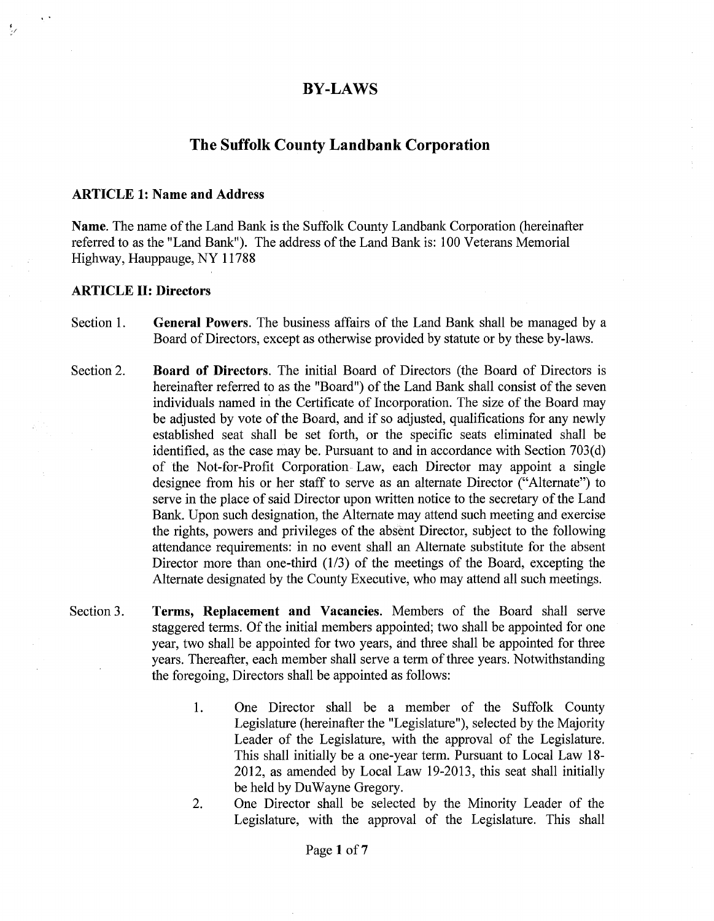## **BY-LAWS**

# **The Suffolk County Landbank Corporation**

#### **ARTICLE 1: Name and Address**

**Name.** The name of the Land Bank is the Suffolk County Landbank Corporation (hereinafter referred to as the "Land Bank"). The address of the Land Bank is: 100 Veterans Memorial Highway, Hauppauge, NY 11788

#### **ARTICLE II: Directors**

' *-I* 

- Section 1. **General Powers.** The business affairs of the Land Bank shall be managed by a Board of Directors, except as otherwise provided by statute or by these by-laws.
- Section 2. **Board of Directors.** The initial Board of Directors (the Board of Directors is hereinafter referred to as the "Board") of the Land Bank shall consist of the seven individuals named in the Certificate of Incorporation. The size of the Board may be adjusted by vote of the Board, and if so adjusted, qualifications for any newly established seat shall be set forth, or the specific seats eliminated shall be identified, as the case may be. Pursuant to and in accordance with Section  $703(d)$ of the Not-for-Profit Corporation Law, each Director may appoint a single designee from his or her staff to serve as an alternate Director ("Alternate") to serve in the place of said Director upon written notice to the secretary of the Land Bank. Upon such designation, the Alternate may attend such meeting and exercise the rights, powers and privileges of the absent Director, subject to the following attendance requirements: in no event shall an Alternate substitute for the absent Director more than one-third  $(1/3)$  of the meetings of the Board, excepting the Alternate designated by the County Executive, who may attend all such meetings.
- Section 3. **Terms, Replacement and Vacancies.** Members of the Board shall serve staggered terms. Of the initial members appointed; two shall be appointed for one year, two shall be appointed for two years, and three shall be appointed for three years. Thereafter, each member shall serve a term of three years. Notwithstanding the foregoing, Directors shall be appointed as follows:
	- **1.** One Director shall be a member of the Suffolk County Legislature (hereinafter the "Legislature"), selected by the Majority Leader of the Legislature, with the approval of the Legislature. This shall initially be a one-year term. Pursuant to Local Law 18- 2012, as amended by Local Law 19-2013, this seat shall initially be held by DuWayne Gregory.
	- 2. One Director shall be selected by the Minority Leader of the Legislature, with the approval of the Legislature. This shall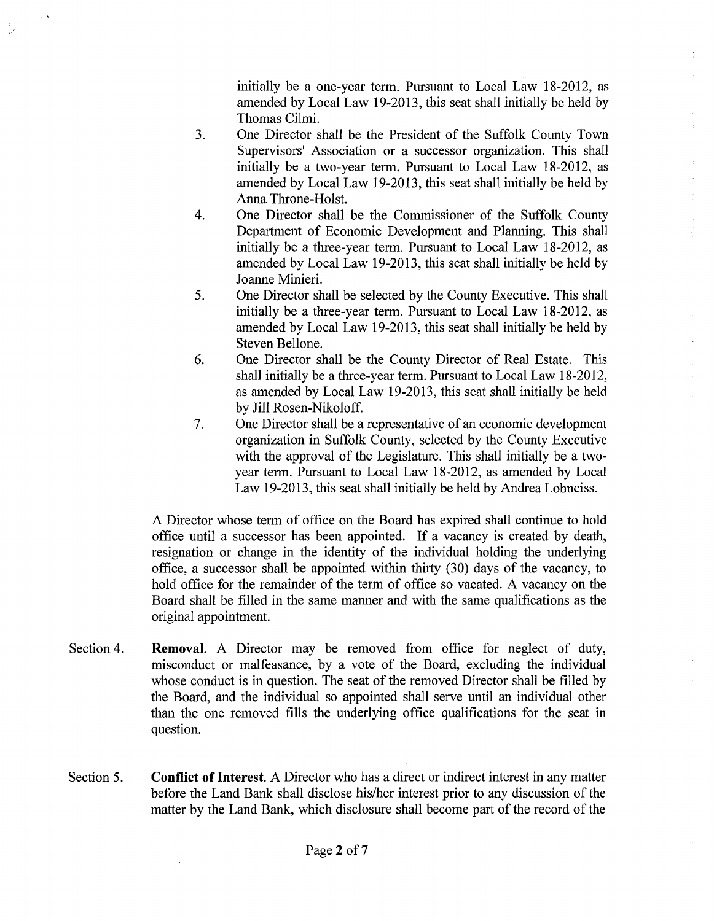initially be a one-year term. Pursuant to Local Law 18-2012, as amended by Local Law 19-2013, this seat shall initially be held by Thomas Cilmi.

- 3. One Director shall be the President of the Suffolk County Town Supervisors' Association or a successor organization. This shall initially be a two-year term. Pursuant to Local Law 18-2012, as amended by Local Law 19-2013, this seat shall initially be held by Anna Throne-Holst.
- 4. One Director shall be the Commissioner of the Suffolk County Department of Economic Development and Planning. This shall initially be a three-year term. Pursuant to Local Law 18-2012, as amended by Local Law 19-2013, this seat shall initially be held by Joanne Minieri.
- 5. One Director shall be selected by the County Executive. This shall initially be a three-year term. Pursuant to Local Law 18-2012, as amended by Local Law 19-2013, this seat shall initially be held by Steven Bellone.
- 6. One Director shall be the County Director of Real Estate. This shall initially be a three-year term. Pursuant to Local Law 18-2012, as amended by Local Law 19-2013, this seat shall initially be held by Jill Rosen-Nikoloff.
- 7. One Director shall be a representative of an economic development organization in Suffolk County, selected by the County Executive with the approval of the Legislature. This shall initially be a twoyear term. Pursuant to Local Law 18-2012, as amended by Local Law 19-2013, this seat shall initially be held by Andrea Lohneiss.

A Director whose term of office on the Board has expired shall continue to hold office until a successor has been appointed. If a vacancy is created by death, resignation or change in the identity of the individual holding the underlying office, a successor shall be appointed within thirty (30) days of the vacancy, to hold office for the remainder of the term of office so vacated. A vacancy on the Board shall be filled in the same manner and with the same qualifications as the original appointment.

- Section 4. **Removal.** A Director may be removed from office for neglect of duty, misconduct or malfeasance, by a vote of the Board, excluding the individual whose conduct is in question. The seat of the removed Director shall be filled by the Board, and the individual so appointed shall serve until an individual other than the one removed fills the underlying office qualifications for the seat in question.
- Section 5. **Conflict of Interest.** A Director who has a direct or indirect interest in any matter before the Land Bank shall disclose his/her interest prior to any discussion of the matter by the Land Bank, which disclosure shall become part of the record of the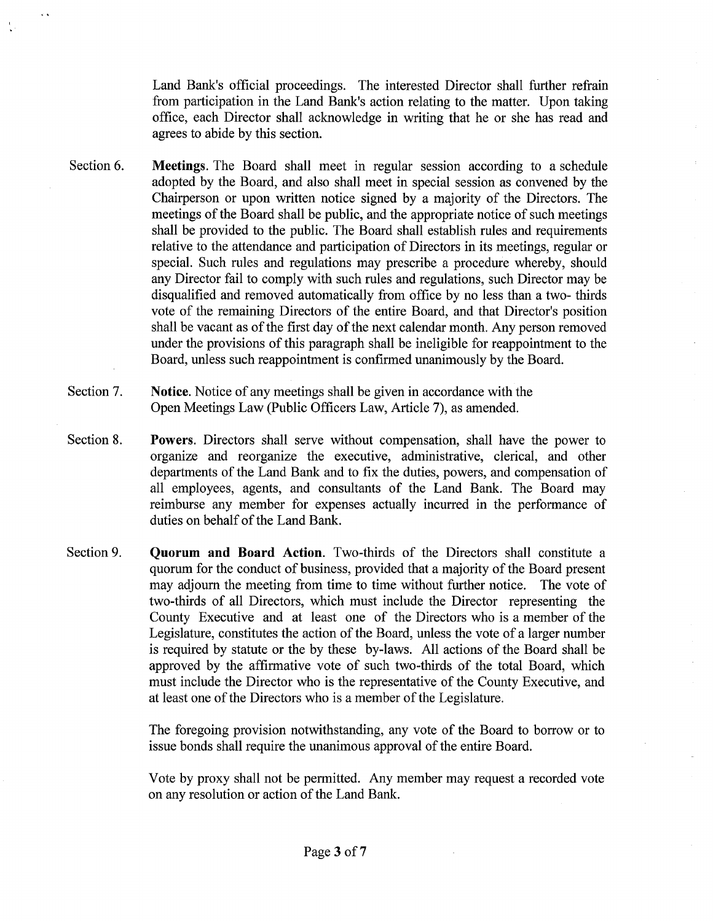Land Bank's official proceedings. The interested Director shall further refrain from participation in the Land Bank's action relating to the matter. Upon taking office, each Director shall acknowledge in writing that he or she has read and agrees to abide by this section.

- Section 6. **Meetings.** The Board shall meet in regular session according to a schedule adopted by the Board, and also shall meet in special session as convened by the Chairperson or upon written notice signed by a majority of the Directors. The meetings of the Board shall be public, and the appropriate notice of such meetings shall be provided to the public. The Board shall establish rules and requirements relative to the attendance and participation of Directors in its meetings, regular or special. Such rules and regulations may prescribe a procedure whereby, should any Director fail to comply with such rules and regulations, such Director may be disqualified and removed automatically from office by no less than a two- thirds vote of the remaining Directors of the entire Board, and that Director's position shall be vacant as of the first day of the next calendar month. Any person removed under the provisions of this paragraph shall be ineligible for reappointment to the Board, unless such reappointment is confirmed unanimously by the Board.
- Section 7. **Notice.** Notice of any meetings shall be given in accordance with the Open Meetings Law (Public Officers Law, Article 7), as amended.
- Section 8. **Powers.** Directors shall serve without compensation, shall have the power to organize and reorganize the executive, administrative, clerical, and other departments of the Land Bank and to fix the duties, powers, and compensation of all employees, agents, and consultants of the Land Bank. The Board may reimburse any member for expenses actually incurred in the performance of duties on behalf of the Land Bank.
- Section 9. **Quorum and Board Action.** Two-thirds of the Directors shall constitute a quorum for the conduct of business, provided that a majority of the Board present may adjourn the meeting from time to time without further notice. The vote of two-thirds of all Directors, which must include the Director representing the County Executive and at least one of the Directors who is a member of the Legislature, constitutes the action of the Board, unless the vote of a larger number is required by statute or the by these by-laws. All actions of the Board shall be approved by the affirmative vote of such two-thirds of the total Board, which must include the Director who is the representative of the County Executive, and at least one of the Directors who is a member of the Legislature.

The foregoing provision notwithstanding, any vote of the Board to borrow or to issue bonds shall require the unanimous approval of the entire Board.

Vote by proxy shall not be permitted. Any member may request a recorded vote on any resolution or action of the Land Bank.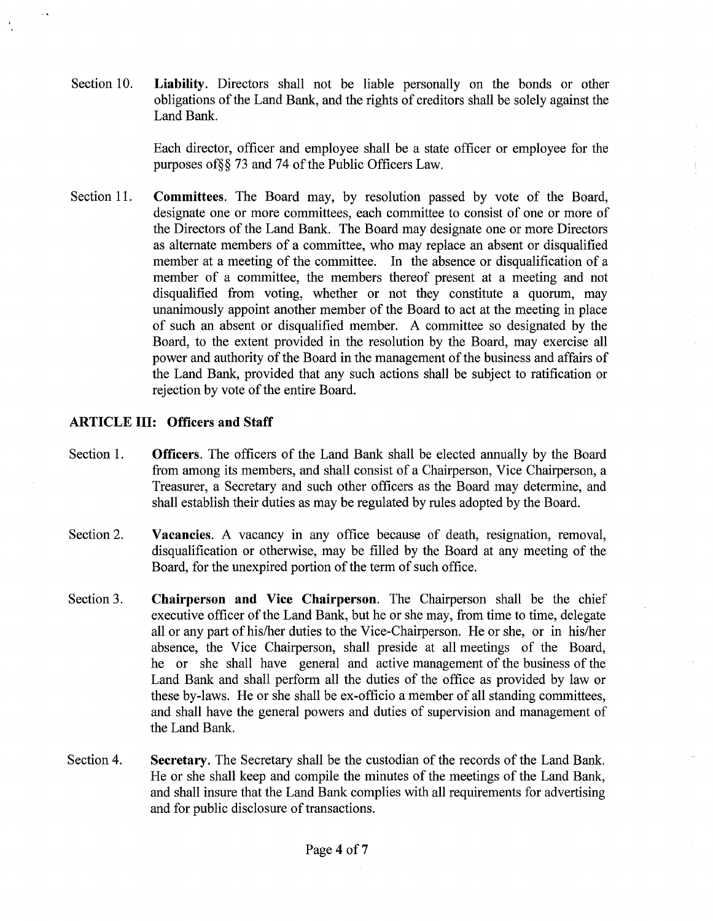Section 10. **Liability.** Directors shall not be liable personally on the bonds or other obligations of the Land Bank, and the rights of creditors shall be solely against the Land Bank.

> Each director, officer and employee shall be a state officer or employee for the purposes of§§ 73 and 74 of the Public Officers Law.

Section 11. **Committees.** The Board may, by resolution passed by vote of the Board, designate one or more committees, each committee to consist of one or more of the Directors of the Land Bank. The Board may designate one or more Directors as alternate members of a committee, who may replace an absent or disqualified member at a meeting of the committee. In the absence or disqualification of a member of a committee, the members thereof present at a meeting and not disqualified from voting, whether or not they constitute a quorum, may unanimously appoint another member of the Board to act at the meeting in place of such an absent or disqualified member. A committee so designated by the Board, to the extent provided in the resolution by the Board, may exercise all power and authority of the Board in the management of the business and affairs of the Land Bank, provided that any such actions shall be subject to ratification or rejection by vote of the entire Board.

### **ARTICLE III: Officers and Staff**

- Section 1. **Officers.** The officers of the Land Bank shall be elected annually by the Board from among its members, and shall consist of a Chairperson, Vice Chairperson, a Treasurer, a Secretary and such other officers as the Board may determine, and shall establish their duties as may be regulated by rules adopted by the Board.
- Section 2. **Vacancies.** A vacancy in any office because of death, resignation, removal, disqualification or otherwise, may be filled by the Board at any meeting of the Board, for the unexpired portion of the term of such office.
- Section 3. **Chairperson and Vice Chairperson.** The Chairperson shall be the chief executive officer of the Land Bank, but he or she may, from time to time, delegate all or any part of his/her duties to the Vice-Chairperson. He or she, or in his/her absence, the Vice Chairperson, shall preside at all meetings of the Board, he or she shall have general and active management of the business of the Land Bank and shall perform all the duties of the office as provided by law or these by-laws. He or she shall be ex-officio a member of all standing committees, and shall have the general powers and duties of supervision and management of the Land Bank.
- Section 4. Secretary. The Secretary shall be the custodian of the records of the Land Bank. He or she shall keep and compile the minutes of the meetings of the Land Bank, and shall insure that the Land Bank complies with all requirements for advertising and for public disclosure of transactions.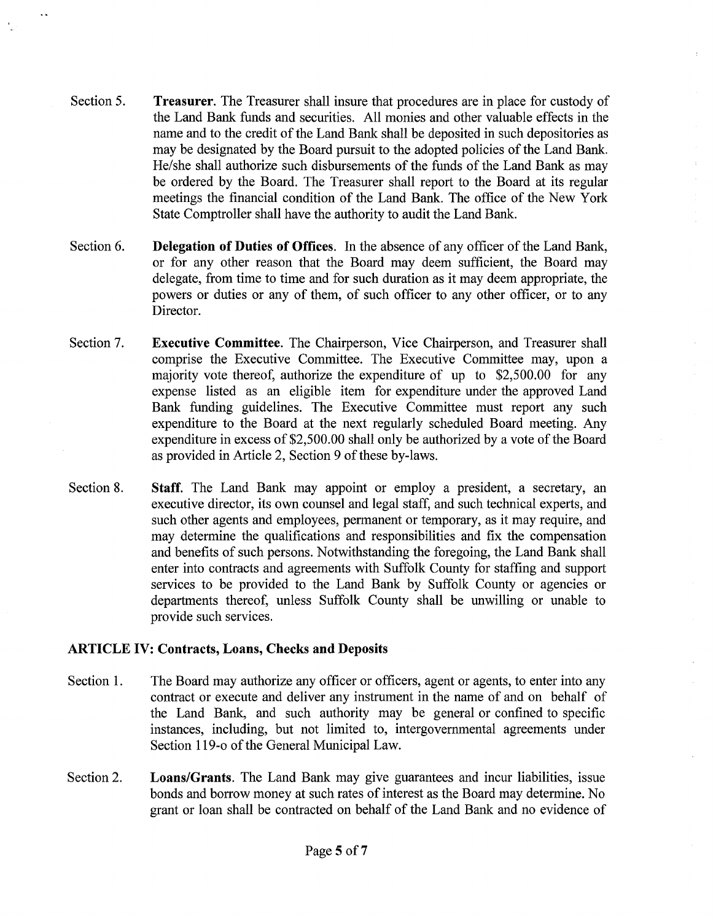- Section 5. **Treasurer.** The Treasurer shall insure that procedures are in place for custody of the Land Bank funds and securities. All monies and other valuable effects in the name and to the credit of the Land Bank shall be deposited in such depositories as may be designated by the Board pursuit to the adopted policies of the Land Bank. He/she shall authorize such disbursements of the funds of the Land Bank as may be ordered by the Board. The Treasurer shall report to the Board at its regular meetings the financial condition of the Land Bank. The office of the New York State Comptroller shall have the authority to audit the Land Bank.
- Section 6. **Delegation of Duties of Offices.** In the absence of any officer of the Land Bank, or for any other reason that the Board may deem sufficient, the Board may delegate, from time to time and for such duration as it may deem appropriate, the powers or duties or any of them, of such officer to any other officer, or to any Director.
- Section 7. **Executive Committee.** The Chairperson, Vice Chairperson, and Treasurer shall comprise the Executive Committee. The Executive Committee may, upon a majority vote thereof, authorize the expenditure of up to \$2,500.00 for any expense listed as an eligible item for expenditure under the approved Land Bank funding guidelines. The Executive Committee must report any such expenditure to the Board at the next regularly scheduled Board meeting. Any expenditure in excess of \$2,500.00 shall only be authorized by a vote of the Board as provided in Article 2, Section 9 of these by-laws.
- Section 8. **Staff.** The Land Bank may appoint or employ a president, a secretary, an executive director, its own counsel and legal staff, and such technical experts, and such other agents and employees, permanent or temporary, as it may require, and may determine the qualifications and responsibilities and fix the compensation and benefits of such persons. Notwithstanding the foregoing, the Land Bank shall enter into contracts and agreements with Suffolk County for staffing and support services to be provided to the Land Bank by Suffolk County or agencies or departments thereof, unless Suffolk County shall be unwilling or unable to provide such services.

### **ARTICLE** IV: **Contracts, Loans, Checks and Deposits**

- Section 1. The Board may authorize any officer or officers, agent or agents, to enter into any contract or execute and deliver any instrument in the name of and on behalf of the Land Bank, and such authority may be general or confined to specific instances, including, but not limited to, intergovernmental agreements under Section 119-o of the General Municipal Law.
- Section 2. **Loans/Grants.** The Land Bank may give guarantees and incur liabilities, issue bonds and borrow money at such rates of interest as the Board may determine. No grant or loan shall be contracted on behalf of the Land Bank and no evidence of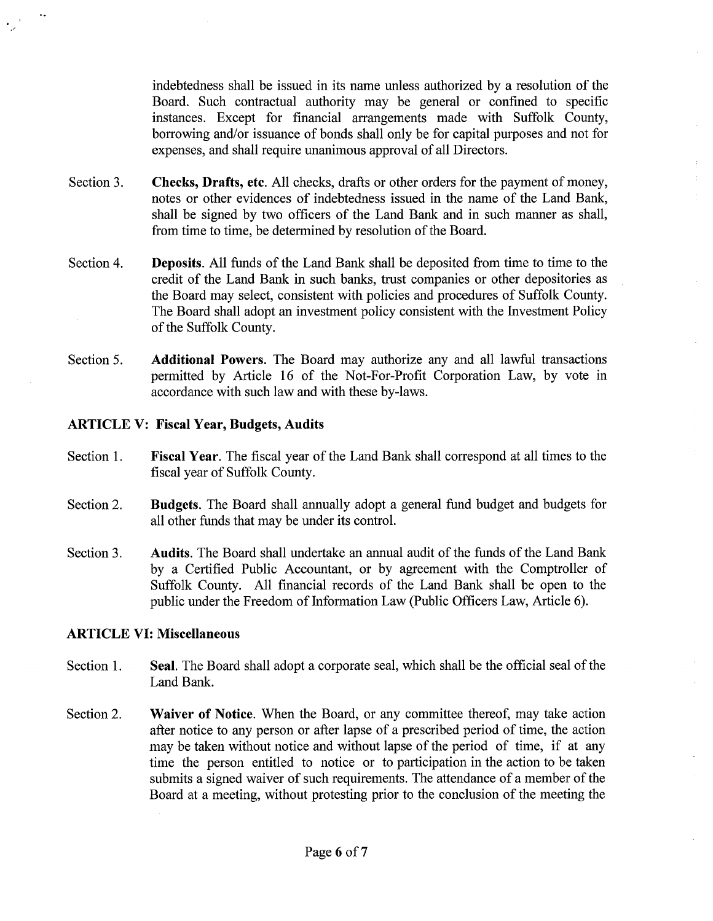indebtedness shall be issued in its name unless authorized by a resolution of the Board. Such contractual authority may be general or confined to specific instances. Except for financial arrangements made with Suffolk County, borrowing and/or issuance of bonds shall only be for capital purposes and not for expenses, and shall require unanimous approval of all Directors.

- Section 3. **Checks, Drafts, etc.** All checks, drafts or other orders for the payment of money, notes or other evidences of indebtedness issued in the name of the Land Bank, shall be signed by two officers of the Land Bank and in such manner as shall, from time to time, be determined by resolution of the Board.
- Section 4. **Deposits.** All funds of the Land Bank shall be deposited from time to time to the credit of the Land Bank in such banks, trust companies or other depositories as the Board may select, consistent with policies and procedures of Suffolk County. The Board shall adopt an investment policy consistent with the Investment Policy of the Suffolk County.
- Section 5. **Additional Powers.** The Board may authorize any and all lawful transactions permitted by Article 16 of the Not-For-Profit Corporation Law, by vote in accordance with such law and with these by-laws.

### **ARTICLE V: Fiscal Year, Budgets, Audits**

.<br>.<br>., ,/

- Section 1. **Fiscal Year.** The fiscal year of the Land Bank shall correspond at all times to the fiscal year of Suffolk County.
- Section 2. **Budgets.** The Board shall annually adopt a general fund budget and budgets for all other funds that may be under its control.
- Section 3. **Audits.** The Board shall undertake an annual audit of the funds of the Land Bank by a Certified Public Accountant, or by agreement with the Comptroller of Suffolk County. All financial records of the Land Bank shall be open to the public under the Freedom of Information Law (Public Officers Law, Article 6).

#### **ARTICLE** VI: **Miscellaneous**

- Section 1. **Seal.** The Board shall adopt a corporate seal, which shall be the official seal of the Land Bank.
- Section 2. **Waiver of Notice.** When the Board, or any committee thereof, may take action after notice to any person or after lapse of a prescribed period of time, the action may be taken without notice and without lapse of the period of time, if at any time the person entitled to notice or to participation in the action to be taken submits a signed waiver of such requirements. The attendance of a member of the Board at a meeting, without protesting prior to the conclusion of the meeting the